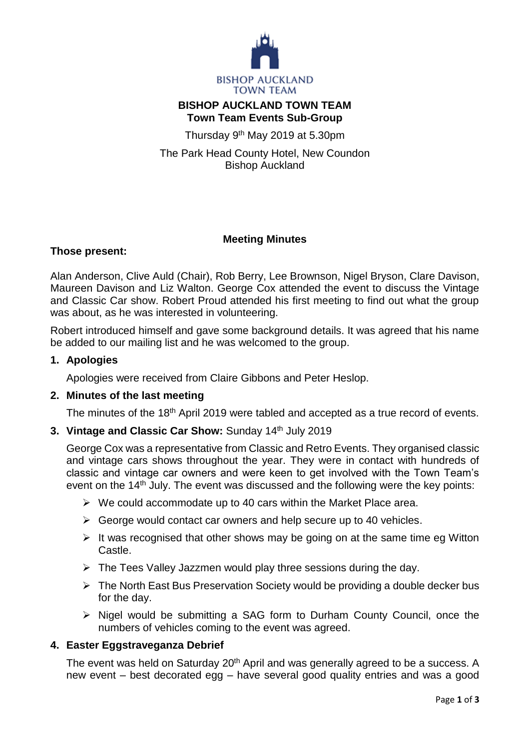

# **BISHOP AUCKLAND TOWN TEAM Town Team Events Sub-Group**

Thursday 9<sup>th</sup> May 2019 at 5.30pm

The Park Head County Hotel, New Coundon Bishop Auckland

## **Meeting Minutes**

#### **Those present:**

Alan Anderson, Clive Auld (Chair), Rob Berry, Lee Brownson, Nigel Bryson, Clare Davison, Maureen Davison and Liz Walton. George Cox attended the event to discuss the Vintage and Classic Car show. Robert Proud attended his first meeting to find out what the group was about, as he was interested in volunteering.

Robert introduced himself and gave some background details. It was agreed that his name be added to our mailing list and he was welcomed to the group.

#### **1. Apologies**

Apologies were received from Claire Gibbons and Peter Heslop.

#### **2. Minutes of the last meeting**

The minutes of the 18<sup>th</sup> April 2019 were tabled and accepted as a true record of events.

#### **3. Vintage and Classic Car Show:** Sunday 14<sup>th</sup> July 2019

George Cox was a representative from Classic and Retro Events. They organised classic and vintage cars shows throughout the year. They were in contact with hundreds of classic and vintage car owners and were keen to get involved with the Town Team's event on the  $14<sup>th</sup>$  July. The event was discussed and the following were the key points:

- $\triangleright$  We could accommodate up to 40 cars within the Market Place area.
- $\triangleright$  George would contact car owners and help secure up to 40 vehicles.
- $\triangleright$  It was recognised that other shows may be going on at the same time eg Witton Castle.
- $\triangleright$  The Tees Valley Jazzmen would play three sessions during the day.
- $\triangleright$  The North East Bus Preservation Society would be providing a double decker bus for the day.
- $\triangleright$  Nigel would be submitting a SAG form to Durham County Council, once the numbers of vehicles coming to the event was agreed.

## **4. Easter Eggstraveganza Debrief**

The event was held on Saturday 20<sup>th</sup> April and was generally agreed to be a success. A new event – best decorated egg – have several good quality entries and was a good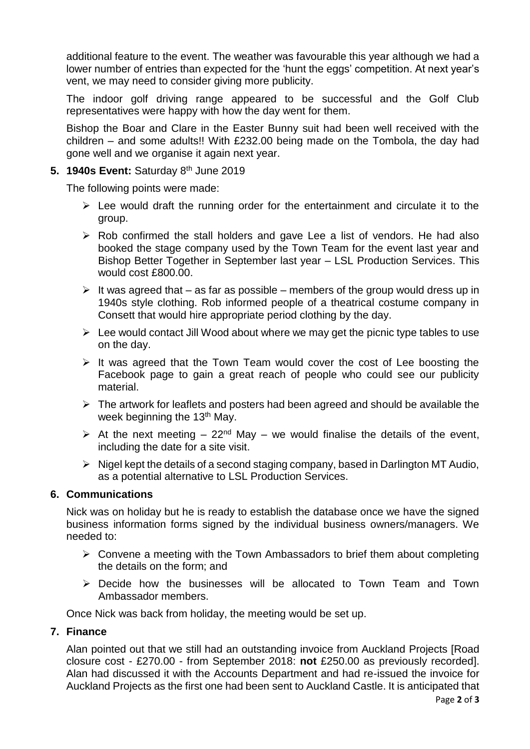additional feature to the event. The weather was favourable this year although we had a lower number of entries than expected for the 'hunt the eggs' competition. At next year's vent, we may need to consider giving more publicity.

The indoor golf driving range appeared to be successful and the Golf Club representatives were happy with how the day went for them.

Bishop the Boar and Clare in the Easter Bunny suit had been well received with the children – and some adults!! With £232.00 being made on the Tombola, the day had gone well and we organise it again next year.

## **5. 1940s Event:** Saturday 8th June 2019

The following points were made:

- $\triangleright$  Lee would draft the running order for the entertainment and circulate it to the group.
- $\triangleright$  Rob confirmed the stall holders and gave Lee a list of vendors. He had also booked the stage company used by the Town Team for the event last year and Bishop Better Together in September last year – LSL Production Services. This would cost £800.00.
- It was agreed that as far as possible members of the group would dress up in 1940s style clothing. Rob informed people of a theatrical costume company in Consett that would hire appropriate period clothing by the day.
- $\triangleright$  Lee would contact Jill Wood about where we may get the picnic type tables to use on the day.
- $\triangleright$  It was agreed that the Town Team would cover the cost of Lee boosting the Facebook page to gain a great reach of people who could see our publicity material.
- $\triangleright$  The artwork for leaflets and posters had been agreed and should be available the week beginning the 13<sup>th</sup> May.
- $\triangleright$  At the next meeting 22<sup>nd</sup> May we would finalise the details of the event, including the date for a site visit.
- $\triangleright$  Nigel kept the details of a second staging company, based in Darlington MT Audio, as a potential alternative to LSL Production Services.

# **6. Communications**

Nick was on holiday but he is ready to establish the database once we have the signed business information forms signed by the individual business owners/managers. We needed to:

- $\triangleright$  Convene a meeting with the Town Ambassadors to brief them about completing the details on the form; and
- $\triangleright$  Decide how the businesses will be allocated to Town Team and Town Ambassador members.

Once Nick was back from holiday, the meeting would be set up.

## **7. Finance**

Alan pointed out that we still had an outstanding invoice from Auckland Projects [Road closure cost - £270.00 - from September 2018: **not** £250.00 as previously recorded]. Alan had discussed it with the Accounts Department and had re-issued the invoice for Auckland Projects as the first one had been sent to Auckland Castle. It is anticipated that